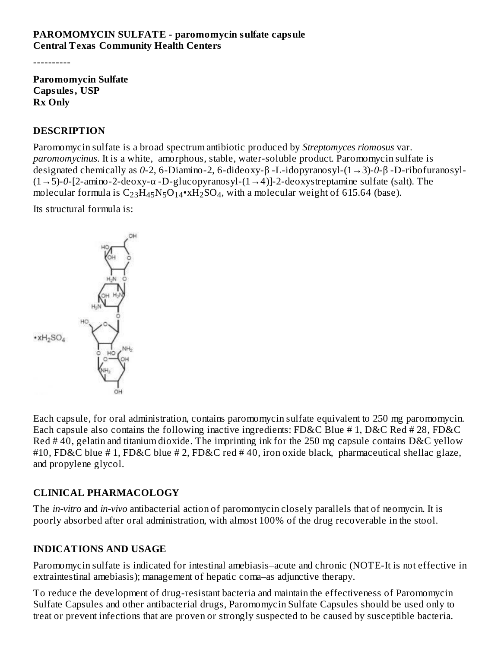#### **PAROMOMYCIN SULFATE - paromomycin sulfate capsule Central Texas Community Health Centers**

----------

**Paromomycin Sulfate Capsules, USP Rx Only**

#### **DESCRIPTION**

Paromomycin sulfate is a broad spectrum antibiotic produced by *Streptomyces riomosus* var. *paromomycinus*. It is a white, amorphous, stable, water-soluble product. Paromomycin sulfate is designated chemically as *0*-2, 6-Diamino-2, 6-dideoxy-β -L-idopyranosyl-(1→3)-*0*-β -D-ribofuranosyl- (1→5)-*0*-[2-amino-2-deoxy-α -D-glucopyranosyl-(1→4)]-2-deoxystreptamine sulfate (salt). The molecular formula is  $\rm{C_{23}H_{45}N_5O_{14}}$ \*x $\rm{H_2SO_4}$ , with a molecular weight of 615.64 (base).

Its structural formula is:



Each capsule, for oral administration, contains paromomycin sulfate equivalent to 250 mg paromomycin. Each capsule also contains the following inactive ingredients: FD&C Blue # 1, D&C Red # 28, FD&C Red # 40, gelatin and titanium dioxide. The imprinting ink for the 250 mg capsule contains D&C yellow #10, FD&C blue # 1, FD&C blue # 2, FD&C red # 40, iron oxide black, pharmaceutical shellac glaze, and propylene glycol.

#### **CLINICAL PHARMACOLOGY**

The *in-vitro* and *in-vivo* antibacterial action of paromomycin closely parallels that of neomycin. It is poorly absorbed after oral administration, with almost 100% of the drug recoverable in the stool.

#### **INDICATIONS AND USAGE**

Paromomycin sulfate is indicated for intestinal amebiasis–acute and chronic (NOTE-It is not effective in extraintestinal amebiasis); management of hepatic coma–as adjunctive therapy.

To reduce the development of drug-resistant bacteria and maintain the effectiveness of Paromomycin Sulfate Capsules and other antibacterial drugs, Paromomycin Sulfate Capsules should be used only to treat or prevent infections that are proven or strongly suspected to be caused by susceptible bacteria.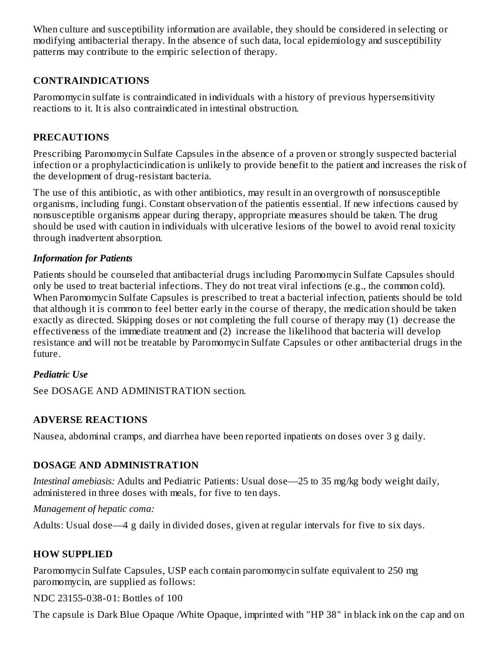When culture and susceptibility information are available, they should be considered in selecting or modifying antibacterial therapy. In the absence of such data, local epidemiology and susceptibility patterns may contribute to the empiric selection of therapy.

# **CONTRAINDICATIONS**

Paromomycin sulfate is contraindicated in individuals with a history of previous hypersensitivity reactions to it. It is also contraindicated in intestinal obstruction.

## **PRECAUTIONS**

Prescribing Paromomycin Sulfate Capsules in the absence of a proven or strongly suspected bacterial infection or a prophylacticindication is unlikely to provide benefit to the patient and increases the risk of the development of drug-resistant bacteria.

The use of this antibiotic, as with other antibiotics, may result in an overgrowth of nonsusceptible organisms, including fungi. Constant observation of the patientis essential. If new infections caused by nonsusceptible organisms appear during therapy, appropriate measures should be taken. The drug should be used with caution in individuals with ulcerative lesions of the bowel to avoid renal toxicity through inadvertent absorption.

### *Information for Patients*

Patients should be counseled that antibacterial drugs including Paromomycin Sulfate Capsules should only be used to treat bacterial infections. They do not treat viral infections (e.g., the common cold). When Paromomycin Sulfate Capsules is prescribed to treat a bacterial infection, patients should be told that although it is common to feel better early in the course of therapy, the medication should be taken exactly as directed. Skipping doses or not completing the full course of therapy may (1) decrease the effectiveness of the immediate treatment and (2) increase the likelihood that bacteria will develop resistance and will not be treatable by Paromomycin Sulfate Capsules or other antibacterial drugs in the future.

#### *Pediatric Use*

See DOSAGE AND ADMINISTRATION section.

# **ADVERSE REACTIONS**

Nausea, abdominal cramps, and diarrhea have been reported inpatients on doses over 3 g daily.

# **DOSAGE AND ADMINISTRATION**

*Intestinal amebiasis:* Adults and Pediatric Patients: Usual dose—25 to 35 mg/kg body weight daily, administered in three doses with meals, for five to ten days.

#### *Management of hepatic coma:*

Adults: Usual dose—4 g daily in divided doses, given at regular intervals for five to six days.

# **HOW SUPPLIED**

Paromomycin Sulfate Capsules, USP each contain paromomycin sulfate equivalent to 250 mg paromomycin, are supplied as follows:

NDC 23155-038-01: Bottles of 100

The capsule is Dark Blue Opaque /White Opaque, imprinted with "HP 38" in black ink on the cap and on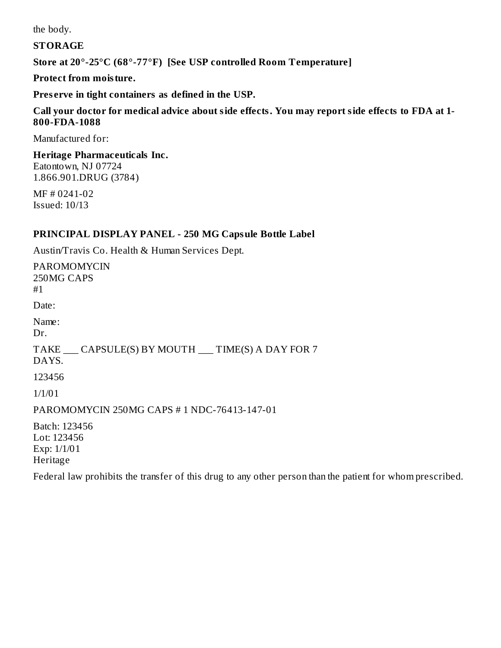the body.

#### **STORAGE**

**Store at 20°-25°C (68°-77°F) [See USP controlled Room Temperature]**

#### **Protect from moisture.**

**Pres erve in tight containers as defined in the USP.**

#### **Call your doctor for medical advice about side effects. You may report side effects to FDA at 1- 800-FDA-1088**

Manufactured for:

#### **Heritage Pharmaceuticals Inc.** Eatontown, NJ 07724 1.866.901.DRUG (3784)

MF # 0241-02 Issued: 10/13

#### **PRINCIPAL DISPLAY PANEL - 250 MG Capsule Bottle Label**

Austin/Travis Co. Health & Human Services Dept.

PAROMOMYCIN 250MG CAPS #1 Date: Name: Dr. TAKE \_\_\_ CAPSULE(S) BY MOUTH \_\_\_ TIME(S) A DAY FOR 7 DAYS. 123456 1/1/01 PAROMOMYCIN 250MG CAPS # 1 NDC-76413-147-01 Batch: 123456 Lot: 123456 Exp: 1/1/01

Heritage

Federal law prohibits the transfer of this drug to any other person than the patient for whom prescribed.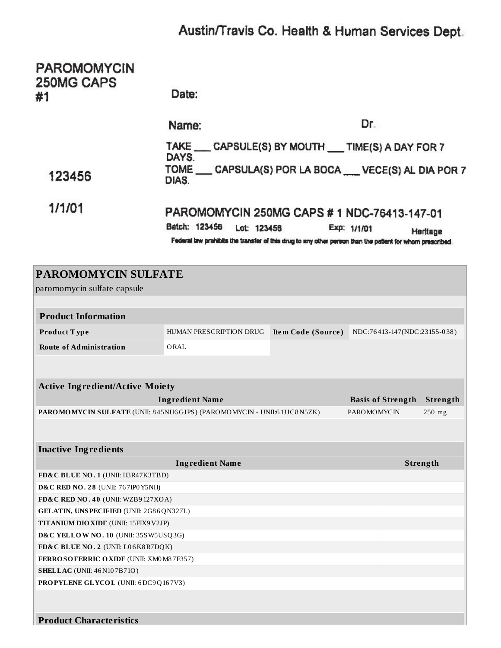# Austin/Travis Co. Health & Human Services Dept.

| <b>PAROMOMYCIN</b><br>250MG CAPS<br>#1                                   | Date:                                                                                                                                                                                                               |                                                 |                          |          |          |  |  |  |
|--------------------------------------------------------------------------|---------------------------------------------------------------------------------------------------------------------------------------------------------------------------------------------------------------------|-------------------------------------------------|--------------------------|----------|----------|--|--|--|
|                                                                          | Name:                                                                                                                                                                                                               |                                                 | Dr.                      |          |          |  |  |  |
| 123456                                                                   | TAKE ___ CAPSULE(S) BY MOUTH __ TIME(S) A DAY FOR 7<br>DAYS.<br>TOME __ CAPSULA(S) POR LA BOCA __ VECE(S) AL DIA POR 7<br>DIAS.                                                                                     |                                                 |                          |          |          |  |  |  |
| 1/1/01                                                                   | PAROMOMYCIN 250MG CAPS # 1 NDC-76413-147-01<br>Batch: 123456<br>Lot: 123456<br>Exp: 1/1/01<br>Heritage<br>Federal law prohibits the transfer of this drug to any other person than the patient for whom prescribed. |                                                 |                          |          |          |  |  |  |
| <b>PAROMOMYCIN SULFATE</b><br>paromomycin sulfate capsule                |                                                                                                                                                                                                                     |                                                 |                          |          |          |  |  |  |
|                                                                          |                                                                                                                                                                                                                     |                                                 |                          |          |          |  |  |  |
| <b>Product Information</b>                                               |                                                                                                                                                                                                                     |                                                 |                          |          |          |  |  |  |
| Product Type                                                             | HUMAN PRESCRIPTION DRUG                                                                                                                                                                                             | Item Code (Source) NDC:76413-147(NDC:23155-038) |                          |          |          |  |  |  |
| <b>Route of Administration</b>                                           | ORAL                                                                                                                                                                                                                |                                                 |                          |          |          |  |  |  |
|                                                                          |                                                                                                                                                                                                                     |                                                 |                          |          |          |  |  |  |
| <b>Active Ingredient/Active Moiety</b>                                   |                                                                                                                                                                                                                     |                                                 |                          |          |          |  |  |  |
|                                                                          | <b>Ingredient Name</b>                                                                                                                                                                                              |                                                 | <b>Basis of Strength</b> |          | Strength |  |  |  |
| PAROMOMYCIN SULFATE (UNII: 845NU6GJPS) (PAROMOMYCIN - UNII:61JJC8N5ZK)   |                                                                                                                                                                                                                     |                                                 | <b>PAROMOMYCIN</b>       |          | $250$ mg |  |  |  |
|                                                                          |                                                                                                                                                                                                                     |                                                 |                          |          |          |  |  |  |
| <b>Inactive Ingredients</b>                                              |                                                                                                                                                                                                                     |                                                 |                          |          |          |  |  |  |
|                                                                          | <b>Ingredient Name</b>                                                                                                                                                                                              |                                                 |                          | Strength |          |  |  |  |
| FD&C BLUE NO. 1 (UNII: H3R47K3TBD)                                       |                                                                                                                                                                                                                     |                                                 |                          |          |          |  |  |  |
| D&C RED NO. 28 (UNII: 767IP0 Y5NH)<br>FD&C RED NO. 40 (UNII: WZB9127XOA) |                                                                                                                                                                                                                     |                                                 |                          |          |          |  |  |  |
| GELATIN, UNSPECIFIED (UNII: 2G86QN327L)                                  |                                                                                                                                                                                                                     |                                                 |                          |          |          |  |  |  |
| TITANIUM DIO XIDE (UNII: 15FIX9V2JP)                                     |                                                                                                                                                                                                                     |                                                 |                          |          |          |  |  |  |
| D&C YELLOW NO. 10 (UNII: 35SW5USQ3G)                                     |                                                                                                                                                                                                                     |                                                 |                          |          |          |  |  |  |
| FD&C BLUE NO. 2 (UNII: L06K8R7DQK)                                       |                                                                                                                                                                                                                     |                                                 |                          |          |          |  |  |  |
| FERROSOFERRIC OXIDE (UNII: XM0 M8 7F357)                                 |                                                                                                                                                                                                                     |                                                 |                          |          |          |  |  |  |
| <b>SHELLAC</b> (UNII: 46 N107B71O)                                       |                                                                                                                                                                                                                     |                                                 |                          |          |          |  |  |  |
| PROPYLENE GLYCOL (UNII: 6DC9Q167V3)                                      |                                                                                                                                                                                                                     |                                                 |                          |          |          |  |  |  |
|                                                                          |                                                                                                                                                                                                                     |                                                 |                          |          |          |  |  |  |